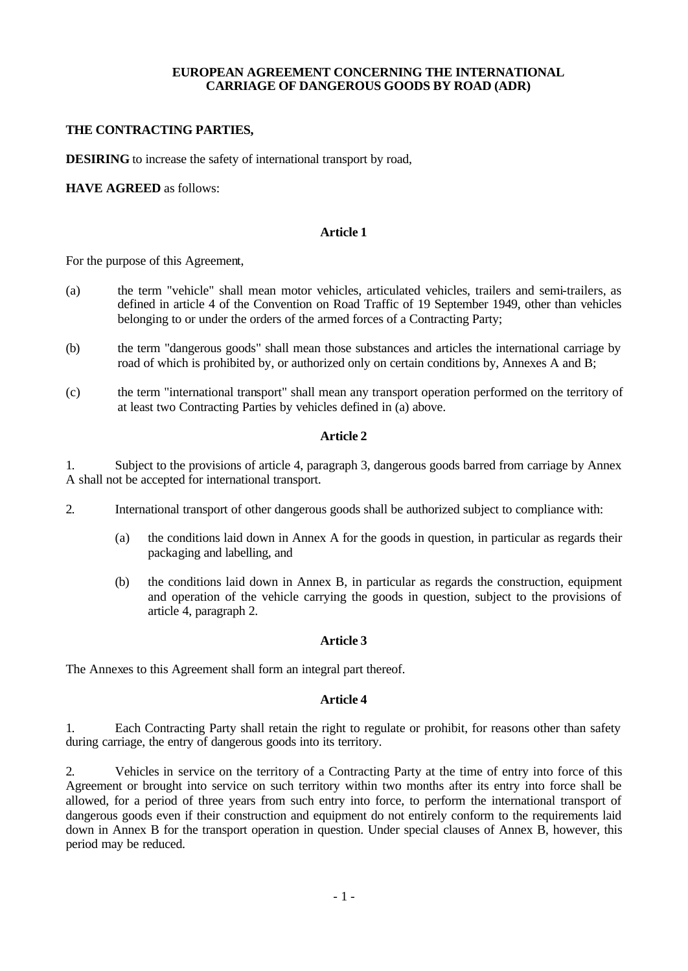### **EUROPEAN AGREEMENT CONCERNING THE INTERNATIONAL CARRIAGE OF DANGEROUS GOODS BY ROAD (ADR)**

## **THE CONTRACTING PARTIES,**

**DESIRING** to increase the safety of international transport by road,

### **HAVE AGREED** as follows:

#### **Article 1**

For the purpose of this Agreement,

- (a) the term "vehicle" shall mean motor vehicles, articulated vehicles, trailers and semi-trailers, as defined in article 4 of the Convention on Road Traffic of 19 September 1949, other than vehicles belonging to or under the orders of the armed forces of a Contracting Party;
- (b) the term "dangerous goods" shall mean those substances and articles the international carriage by road of which is prohibited by, or authorized only on certain conditions by, Annexes A and B;
- (c) the term "international transport" shall mean any transport operation performed on the territory of at least two Contracting Parties by vehicles defined in (a) above.

### **Article 2**

1. Subject to the provisions of article 4, paragraph 3, dangerous goods barred from carriage by Annex A shall not be accepted for international transport.

- 2. International transport of other dangerous goods shall be authorized subject to compliance with:
	- (a) the conditions laid down in Annex A for the goods in question, in particular as regards their packaging and labelling, and
	- (b) the conditions laid down in Annex B, in particular as regards the construction, equipment and operation of the vehicle carrying the goods in question, subject to the provisions of article 4, paragraph 2.

### **Article 3**

The Annexes to this Agreement shall form an integral part thereof.

#### **Article 4**

1. Each Contracting Party shall retain the right to regulate or prohibit, for reasons other than safety during carriage, the entry of dangerous goods into its territory.

2. Vehicles in service on the territory of a Contracting Party at the time of entry into force of this Agreement or brought into service on such territory within two months after its entry into force shall be allowed, for a period of three years from such entry into force, to perform the international transport of dangerous goods even if their construction and equipment do not entirely conform to the requirements laid down in Annex B for the transport operation in question. Under special clauses of Annex B, however, this period may be reduced.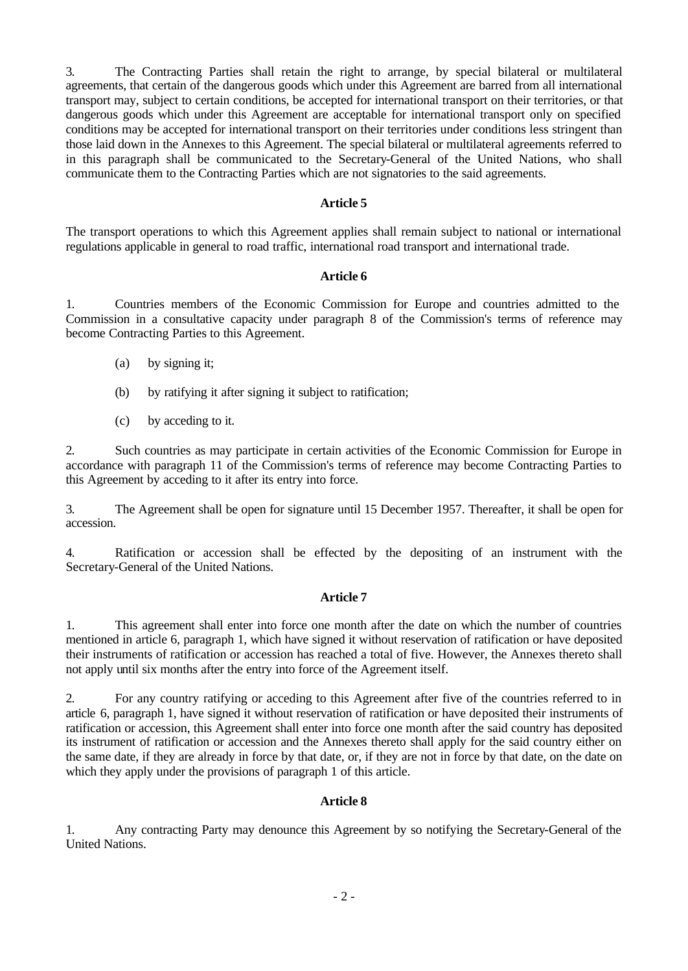3. The Contracting Parties shall retain the right to arrange, by special bilateral or multilateral agreements, that certain of the dangerous goods which under this Agreement are barred from all international transport may, subject to certain conditions, be accepted for international transport on their territories, or that dangerous goods which under this Agreement are acceptable for international transport only on specified conditions may be accepted for international transport on their territories under conditions less stringent than those laid down in the Annexes to this Agreement. The special bilateral or multilateral agreements referred to in this paragraph shall be communicated to the Secretary-General of the United Nations, who shall communicate them to the Contracting Parties which are not signatories to the said agreements.

## **Article 5**

The transport operations to which this Agreement applies shall remain subject to national or international regulations applicable in general to road traffic, international road transport and international trade.

### **Article 6**

1. Countries members of the Economic Commission for Europe and countries admitted to the Commission in a consultative capacity under paragraph 8 of the Commission's terms of reference may become Contracting Parties to this Agreement.

- (a) by signing it;
- (b) by ratifying it after signing it subject to ratification;
- (c) by acceding to it.

2. Such countries as may participate in certain activities of the Economic Commission for Europe in accordance with paragraph 11 of the Commission's terms of reference may become Contracting Parties to this Agreement by acceding to it after its entry into force.

3. The Agreement shall be open for signature until 15 December 1957. Thereafter, it shall be open for accession.

4. Ratification or accession shall be effected by the depositing of an instrument with the Secretary-General of the United Nations.

### **Article 7**

1. This agreement shall enter into force one month after the date on which the number of countries mentioned in article 6, paragraph 1, which have signed it without reservation of ratification or have deposited their instruments of ratification or accession has reached a total of five. However, the Annexes thereto shall not apply until six months after the entry into force of the Agreement itself.

2. For any country ratifying or acceding to this Agreement after five of the countries referred to in article 6, paragraph 1, have signed it without reservation of ratification or have deposited their instruments of ratification or accession, this Agreement shall enter into force one month after the said country has deposited its instrument of ratification or accession and the Annexes thereto shall apply for the said country either on the same date, if they are already in force by that date, or, if they are not in force by that date, on the date on which they apply under the provisions of paragraph 1 of this article.

### **Article 8**

1. Any contracting Party may denounce this Agreement by so notifying the Secretary-General of the United Nations.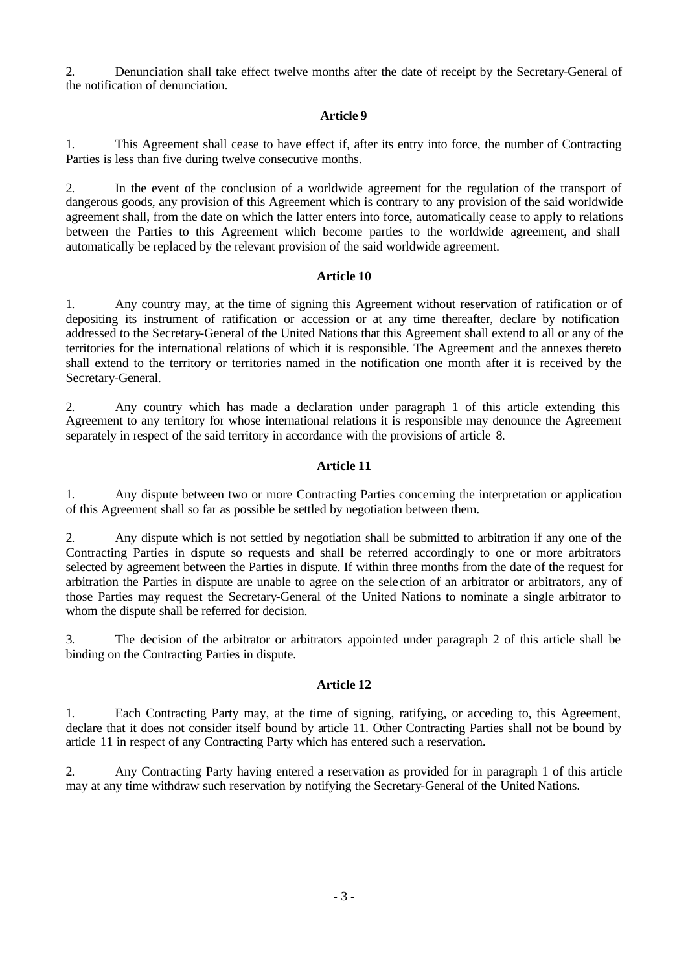2. Denunciation shall take effect twelve months after the date of receipt by the Secretary-General of the notification of denunciation.

## **Article 9**

1. This Agreement shall cease to have effect if, after its entry into force, the number of Contracting Parties is less than five during twelve consecutive months.

2. In the event of the conclusion of a worldwide agreement for the regulation of the transport of dangerous goods, any provision of this Agreement which is contrary to any provision of the said worldwide agreement shall, from the date on which the latter enters into force, automatically cease to apply to relations between the Parties to this Agreement which become parties to the worldwide agreement, and shall automatically be replaced by the relevant provision of the said worldwide agreement.

## **Article 10**

1. Any country may, at the time of signing this Agreement without reservation of ratification or of depositing its instrument of ratification or accession or at any time thereafter, declare by notification addressed to the Secretary-General of the United Nations that this Agreement shall extend to all or any of the territories for the international relations of which it is responsible. The Agreement and the annexes thereto shall extend to the territory or territories named in the notification one month after it is received by the Secretary-General.

2. Any country which has made a declaration under paragraph 1 of this article extending this Agreement to any territory for whose international relations it is responsible may denounce the Agreement separately in respect of the said territory in accordance with the provisions of article 8.

# **Article 11**

1. Any dispute between two or more Contracting Parties concerning the interpretation or application of this Agreement shall so far as possible be settled by negotiation between them.

2. Any dispute which is not settled by negotiation shall be submitted to arbitration if any one of the Contracting Parties in dispute so requests and shall be referred accordingly to one or more arbitrators selected by agreement between the Parties in dispute. If within three months from the date of the request for arbitration the Parties in dispute are unable to agree on the sele ction of an arbitrator or arbitrators, any of those Parties may request the Secretary-General of the United Nations to nominate a single arbitrator to whom the dispute shall be referred for decision.

3. The decision of the arbitrator or arbitrators appointed under paragraph 2 of this article shall be binding on the Contracting Parties in dispute.

# **Article 12**

1. Each Contracting Party may, at the time of signing, ratifying, or acceding to, this Agreement, declare that it does not consider itself bound by article 11. Other Contracting Parties shall not be bound by article 11 in respect of any Contracting Party which has entered such a reservation.

2. Any Contracting Party having entered a reservation as provided for in paragraph 1 of this article may at any time withdraw such reservation by notifying the Secretary-General of the United Nations.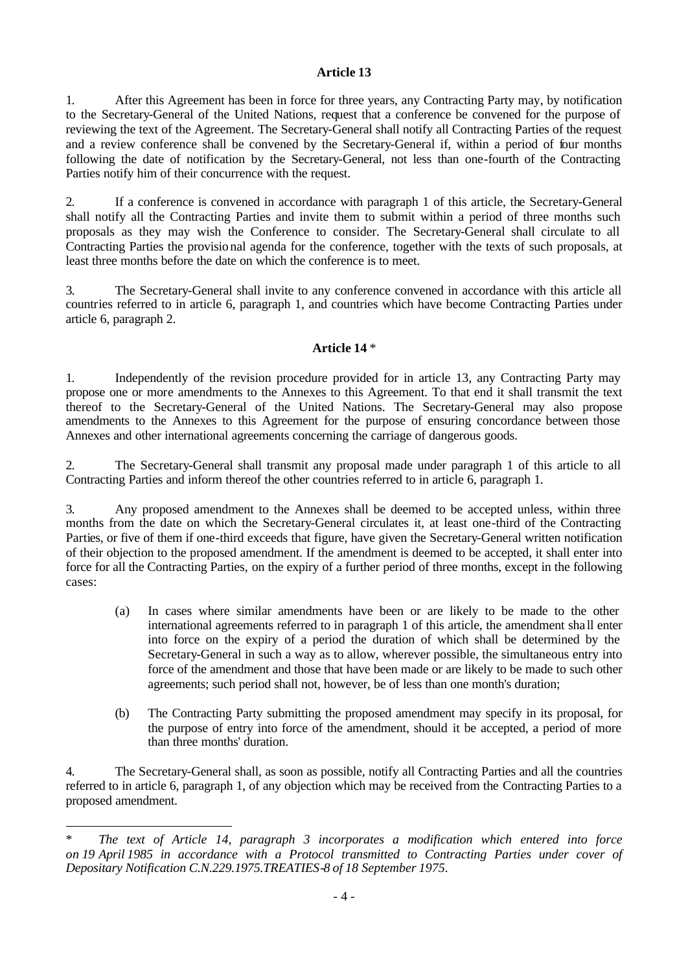## **Article 13**

1. After this Agreement has been in force for three years, any Contracting Party may, by notification to the Secretary-General of the United Nations, request that a conference be convened for the purpose of reviewing the text of the Agreement. The Secretary-General shall notify all Contracting Parties of the request and a review conference shall be convened by the Secretary-General if, within a period of four months following the date of notification by the Secretary-General, not less than one-fourth of the Contracting Parties notify him of their concurrence with the request.

2. If a conference is convened in accordance with paragraph 1 of this article, the Secretary-General shall notify all the Contracting Parties and invite them to submit within a period of three months such proposals as they may wish the Conference to consider. The Secretary-General shall circulate to all Contracting Parties the provisional agenda for the conference, together with the texts of such proposals, at least three months before the date on which the conference is to meet.

3. The Secretary-General shall invite to any conference convened in accordance with this article all countries referred to in article 6, paragraph 1, and countries which have become Contracting Parties under article 6, paragraph 2.

# **Article 14** \*

1. Independently of the revision procedure provided for in article 13, any Contracting Party may propose one or more amendments to the Annexes to this Agreement. To that end it shall transmit the text thereof to the Secretary-General of the United Nations. The Secretary-General may also propose amendments to the Annexes to this Agreement for the purpose of ensuring concordance between those Annexes and other international agreements concerning the carriage of dangerous goods.

2. The Secretary-General shall transmit any proposal made under paragraph 1 of this article to all Contracting Parties and inform thereof the other countries referred to in article 6, paragraph 1.

3. Any proposed amendment to the Annexes shall be deemed to be accepted unless, within three months from the date on which the Secretary-General circulates it, at least one-third of the Contracting Parties, or five of them if one-third exceeds that figure, have given the Secretary-General written notification of their objection to the proposed amendment. If the amendment is deemed to be accepted, it shall enter into force for all the Contracting Parties, on the expiry of a further period of three months, except in the following cases:

- (a) In cases where similar amendments have been or are likely to be made to the other international agreements referred to in paragraph 1 of this article, the amendment sha ll enter into force on the expiry of a period the duration of which shall be determined by the Secretary-General in such a way as to allow, wherever possible, the simultaneous entry into force of the amendment and those that have been made or are likely to be made to such other agreements; such period shall not, however, be of less than one month's duration;
- (b) The Contracting Party submitting the proposed amendment may specify in its proposal, for the purpose of entry into force of the amendment, should it be accepted, a period of more than three months' duration.

4. The Secretary-General shall, as soon as possible, notify all Contracting Parties and all the countries referred to in article 6, paragraph 1, of any objection which may be received from the Contracting Parties to a proposed amendment.

l

<sup>\*</sup> *The text of Article 14, paragraph 3 incorporates a modification which entered into force on 19 April 1985 in accordance with a Protocol transmitted to Contracting Parties under cover of Depositary Notification C.N.229.1975.TREATIES-8 of 18 September 1975.*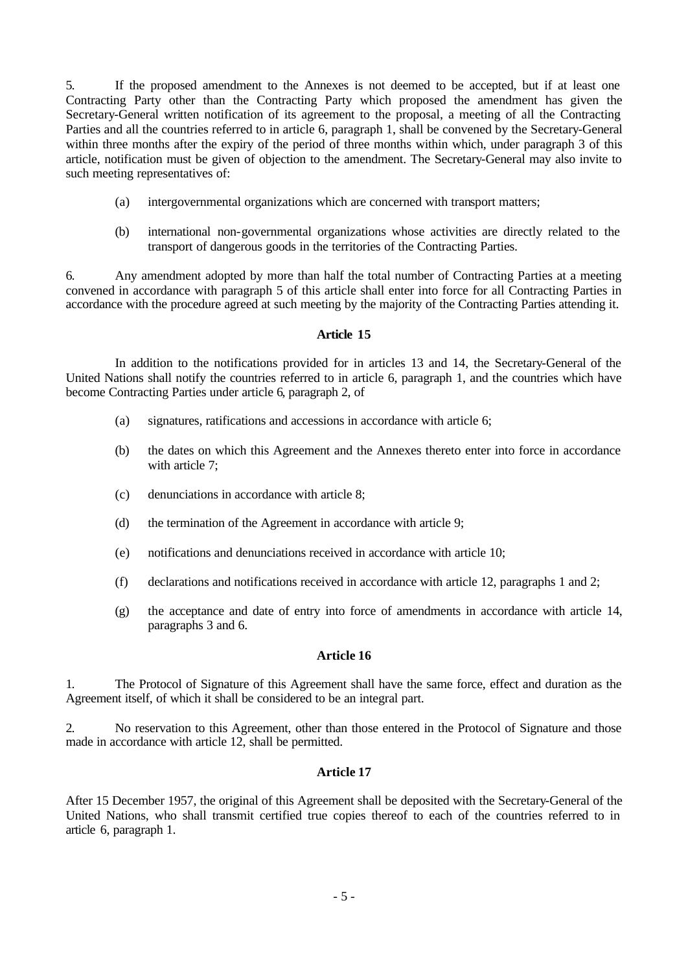5. If the proposed amendment to the Annexes is not deemed to be accepted, but if at least one Contracting Party other than the Contracting Party which proposed the amendment has given the Secretary-General written notification of its agreement to the proposal, a meeting of all the Contracting Parties and all the countries referred to in article 6, paragraph 1, shall be convened by the Secretary-General within three months after the expiry of the period of three months within which, under paragraph 3 of this article, notification must be given of objection to the amendment. The Secretary-General may also invite to such meeting representatives of:

- (a) intergovernmental organizations which are concerned with transport matters;
- (b) international non-governmental organizations whose activities are directly related to the transport of dangerous goods in the territories of the Contracting Parties.

6. Any amendment adopted by more than half the total number of Contracting Parties at a meeting convened in accordance with paragraph 5 of this article shall enter into force for all Contracting Parties in accordance with the procedure agreed at such meeting by the majority of the Contracting Parties attending it.

## **Article 15**

In addition to the notifications provided for in articles 13 and 14, the Secretary-General of the United Nations shall notify the countries referred to in article 6, paragraph 1, and the countries which have become Contracting Parties under article 6, paragraph 2, of

- (a) signatures, ratifications and accessions in accordance with article 6;
- (b) the dates on which this Agreement and the Annexes thereto enter into force in accordance with article 7;
- (c) denunciations in accordance with article 8;
- (d) the termination of the Agreement in accordance with article 9;
- (e) notifications and denunciations received in accordance with article 10;
- (f) declarations and notifications received in accordance with article 12, paragraphs 1 and 2;
- (g) the acceptance and date of entry into force of amendments in accordance with article 14, paragraphs 3 and 6.

### **Article 16**

1. The Protocol of Signature of this Agreement shall have the same force, effect and duration as the Agreement itself, of which it shall be considered to be an integral part.

2. No reservation to this Agreement, other than those entered in the Protocol of Signature and those made in accordance with article 12, shall be permitted.

### **Article 17**

After 15 December 1957, the original of this Agreement shall be deposited with the Secretary-General of the United Nations, who shall transmit certified true copies thereof to each of the countries referred to in article 6, paragraph 1.